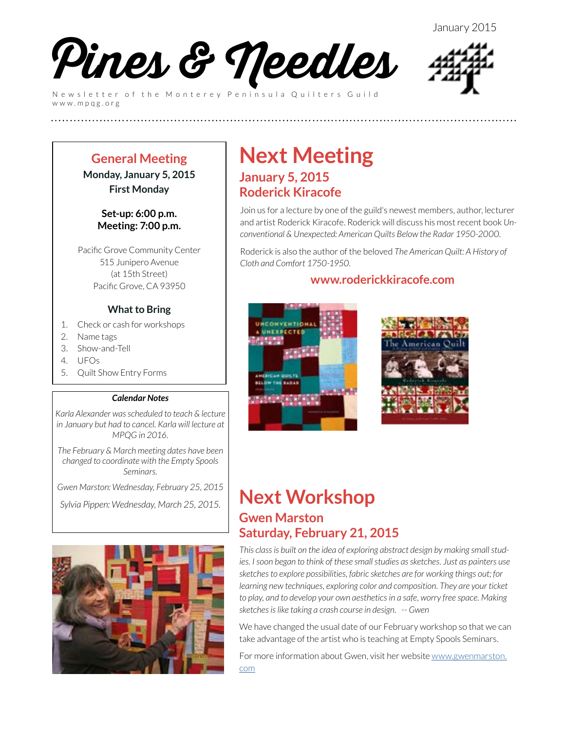

Newsletter of the Monterey Peninsula Quilters Guild www.mpqg.org



#### **General Meeting Monday, January 5, 2015 First Monday**

#### **Set-up: 6:00 p.m. Meeting: 7:00 p.m.**

Pacific Grove Community Center 515 Junipero Avenue (at 15th Street) Pacific Grove, CA 93950

#### **What to Bring**

- 1. Check or cash for workshops
- 2. Name tags
- 3. Show-and-Tell
- 4. UFOs
- 5. Quilt Show Entry Forms

#### *Calendar Notes*

*Karla Alexander was scheduled to teach & lecture in January but had to cancel. Karla will lecture at MPQG in 2016.*

*The February & March meeting dates have been changed to coordinate with the Empty Spools Seminars.* 

*Gwen Marston: Wednesday, February 25, 2015*

*Sylvia Pippen: Wednesday, March 25, 2015.*



### **Next Meeting January 5, 2015 Roderick Kiracofe**

**(((((((((((((((((((((((((**

Join us for a lecture by one of the guild's newest members, author, lecturer and artist Roderick Kiracofe. Roderick will discuss his most recent book *Unconventional & Unexpected: American Quilts Below the Radar 1950-2000*.

Roderick is also the author of the beloved *The American Quilt: A History of Cloth and Comfort 1750-1950*.

### **[www.roderickkiracofe.com](http://www.roderickkiracofe.com/)**





### **Next Workshop Gwen Marston Saturday, February 21, 2015**

*This class is built on the idea of exploring abstract design by making small studies. I soon began to think of these small studies as sketches. Just as painters use sketches to explore possibilities, fabric sketches are for working things out; for learning new techniques, exploring color and composition. They are your ticket to play, and to develop your own aesthetics in a safe, worry free space. Making sketches is like taking a crash course in design. -- Gwen*

We have changed the usual date of our February workshop so that we can take advantage of the artist who is teaching at Empty Spools Seminars.

For more information about Gwen, visit her website [www.gwenmarston.](http://www.gwenmarston.com) [com](http://www.gwenmarston.com)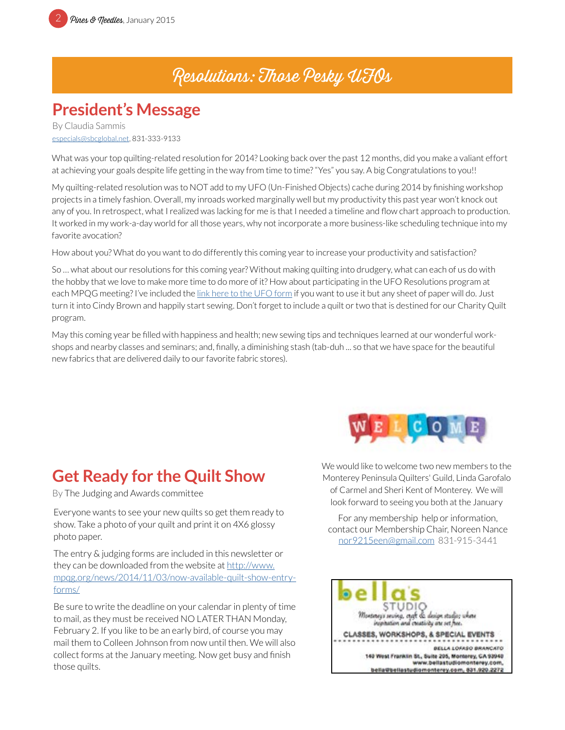### Resolutions: Those Pesky UFOs

### **President's Message**

By Claudia Sammis [especials@sbcglobal.net](mailto:especials%40sbcglobal.net?subject=MPQG), 831-333-9133

What was your top quilting-related resolution for 2014? Looking back over the past 12 months, did you make a valiant effort at achieving your goals despite life getting in the way from time to time? "Yes" you say. A big Congratulations to you!!

My quilting-related resolution was to NOT add to my UFO (Un-Finished Objects) cache during 2014 by finishing workshop projects in a timely fashion. Overall, my inroads worked marginally well but my productivity this past year won't knock out any of you. In retrospect, what I realized was lacking for me is that I needed a timeline and flow chart approach to production. It worked in my work-a-day world for all those years, why not incorporate a more business-like scheduling technique into my favorite avocation?

How about you? What do you want to do differently this coming year to increase your productivity and satisfaction?

So … what about our resolutions for this coming year? Without making quilting into drudgery, what can each of us do with the hobby that we love to make more time to do more of it? How about participating in the UFO Resolutions program at each MPQG meeting? I've included the [link here to the UFO form](http://www.mpqg.org/media/uploads/2012/06/29/files/UFOform.pdf) if you want to use it but any sheet of paper will do. Just turn it into Cindy Brown and happily start sewing. Don't forget to include a quilt or two that is destined for our Charity Quilt program.

May this coming year be filled with happiness and health; new sewing tips and techniques learned at our wonderful workshops and nearby classes and seminars; and, finally, a diminishing stash (tab-duh ... so that we have space for the beautiful new fabrics that are delivered daily to our favorite fabric stores).

### **Get Ready for the Quilt Show**

By The Judging and Awards committee

Everyone wants to see your new quilts so get them ready to show. Take a photo of your quilt and print it on 4X6 glossy photo paper.

The entry & judging forms are included in this newsletter or they can be downloaded from the website at [http://www.](http://www.mpqg.org/news/2014/11/03/now-available-quilt-show-entry-forms/) [mpqg.org/news/2014/11/03/now-available-quilt-show-entry](http://www.mpqg.org/news/2014/11/03/now-available-quilt-show-entry-forms/)[forms/](http://www.mpqg.org/news/2014/11/03/now-available-quilt-show-entry-forms/)

Be sure to write the deadline on your calendar in plenty of time to mail, as they must be received NO LATER THAN Monday, February 2. If you like to be an early bird, of course you may mail them to Colleen Johnson from now until then. We will also collect forms at the January meeting. Now get busy and finish those quilts.



We would like to welcome two new members to the Monterey Peninsula Quilters' Guild, Linda Garofalo of Carmel and Sheri Kent of Monterey. We will look forward to seeing you both at the January

For any membership help or information, contact our Membership Chair, Noreen Nance [nor9215een@gmail.com](mailto:nor9215een%40gmail.com?subject=MPQG%20Membership) 831-915-3441

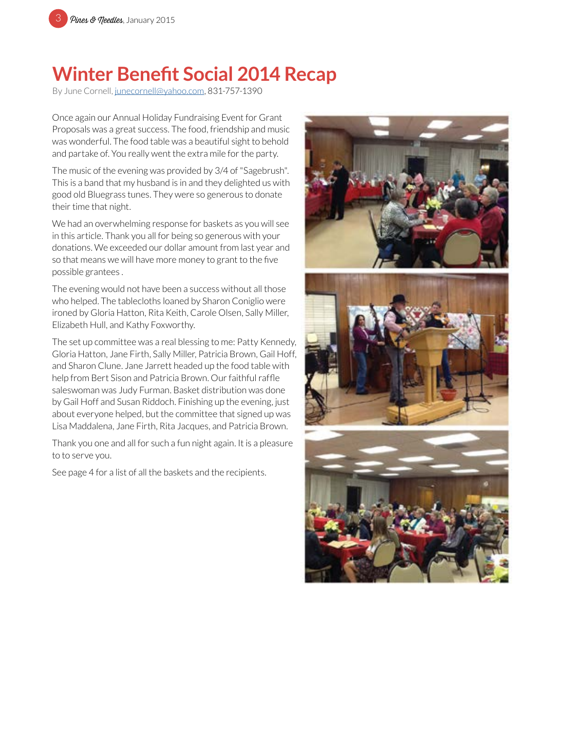

### **Winter Benefit Social 2014 Recap**

By June Cornell, [junecornell@yahoo.com](mailto:junecornell%40yahoo.com?subject=MPQG%20Holiday%20Fundraising%20Event), 831-757-1390

Once again our Annual Holiday Fundraising Event for Grant Proposals was a great success. The food, friendship and music was wonderful. The food table was a beautiful sight to behold and partake of. You really went the extra mile for the party.

The music of the evening was provided by 3/4 of "Sagebrush". This is a band that my husband is in and they delighted us with good old Bluegrass tunes. They were so generous to donate their time that night.

We had an overwhelming response for baskets as you will see in this article. Thank you all for being so generous with your donations. We exceeded our dollar amount from last year and so that means we will have more money to grant to the five possible grantees .

The evening would not have been a success without all those who helped. The tablecloths loaned by Sharon Coniglio were ironed by Gloria Hatton, Rita Keith, Carole Olsen, Sally Miller, Elizabeth Hull, and Kathy Foxworthy.

The set up committee was a real blessing to me: Patty Kennedy, Gloria Hatton, Jane Firth, Sally Miller, Patricia Brown, Gail Hoff, and Sharon Clune. Jane Jarrett headed up the food table with help from Bert Sison and Patricia Brown. Our faithful raffle saleswoman was Judy Furman. Basket distribution was done by Gail Hoff and Susan Riddoch. Finishing up the evening, just about everyone helped, but the committee that signed up was Lisa Maddalena, Jane Firth, Rita Jacques, and Patricia Brown.

Thank you one and all for such a fun night again. It is a pleasure to to serve you.

See page 4 for a list of all the baskets and the recipients.





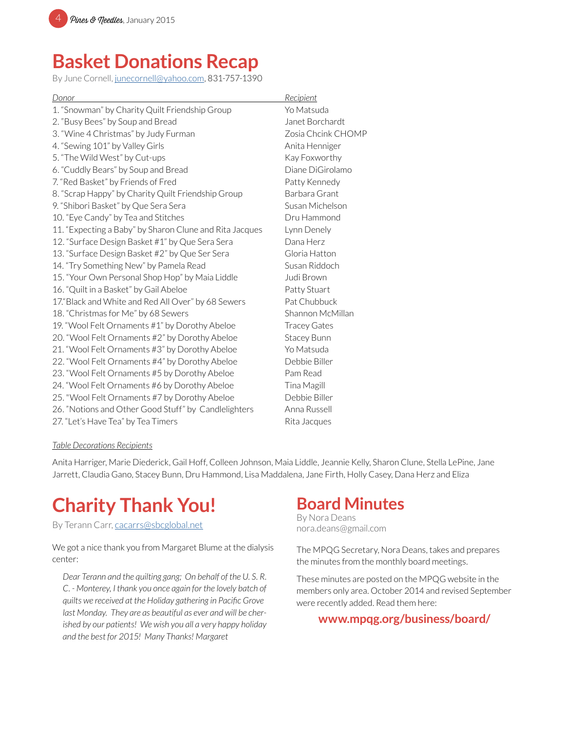

### **Basket Donations Recap**

By June Cornell, [junecornell@yahoo.com](mailto:junecornell%40yahoo.com?subject=MPQG%20Holiday%20Fundraising%20Event), 831-757-1390

| Donor                                                   | Recipient           |
|---------------------------------------------------------|---------------------|
| 1. "Snowman" by Charity Quilt Friendship Group          | Yo Matsuda          |
| 2. "Busy Bees" by Soup and Bread                        | Janet Borchardt     |
| 3. "Wine 4 Christmas" by Judy Furman                    | Zosia Chcink CHOMP  |
| 4. "Sewing 101" by Valley Girls                         | Anita Henniger      |
| 5. "The Wild West" by Cut-ups                           | Kay Foxworthy       |
| 6. "Cuddly Bears" by Soup and Bread                     | Diane DiGirolamo    |
| 7. "Red Basket" by Friends of Fred                      | Patty Kennedy       |
| 8. "Scrap Happy" by Charity Quilt Friendship Group      | Barbara Grant       |
| 9. "Shibori Basket" by Que Sera Sera                    | Susan Michelson     |
| 10. "Eye Candy" by Tea and Stitches                     | Dru Hammond         |
| 11. "Expecting a Baby" by Sharon Clune and Rita Jacques | Lynn Denely         |
| 12. "Surface Design Basket #1" by Que Sera Sera         | Dana Herz           |
| 13. "Surface Design Basket #2" by Que Ser Sera          | Gloria Hatton       |
| 14. "Try Something New" by Pamela Read                  | Susan Riddoch       |
| 15. "Your Own Personal Shop Hop" by Maia Liddle         | Judi Brown          |
| 16. "Quilt in a Basket" by Gail Abeloe                  | Patty Stuart        |
| 17. Black and White and Red All Over" by 68 Sewers      | Pat Chubbuck        |
| 18. "Christmas for Me" by 68 Sewers                     | Shannon McMillan    |
| 19. "Wool Felt Ornaments #1" by Dorothy Abeloe          | <b>Tracey Gates</b> |
| 20. "Wool Felt Ornaments #2" by Dorothy Abeloe          | Stacey Bunn         |
| 21. "Wool Felt Ornaments #3" by Dorothy Abeloe          | Yo Matsuda          |
| 22. "Wool Felt Ornaments #4" by Dorothy Abeloe          | Debbie Biller       |
| 23. "Wool Felt Ornaments #5 by Dorothy Abeloe           | Pam Read            |
| 24. "Wool Felt Ornaments #6 by Dorothy Abeloe           | Tina Magill         |
| 25. "Wool Felt Ornaments #7 by Dorothy Abeloe           | Debbie Biller       |
| 26. "Notions and Other Good Stuff" by Candlelighters    | Anna Russell        |
| 27. "Let's Have Tea" by Tea Timers                      | Rita Jacques        |
|                                                         |                     |

#### *Table Decorations Recipients*

Anita Harriger, Marie Diederick, Gail Hoff, Colleen Johnson, Maia Liddle, Jeannie Kelly, Sharon Clune, Stella LePine, Jane Jarrett, Claudia Gano, Stacey Bunn, Dru Hammond, Lisa Maddalena, Jane Firth, Holly Casey, Dana Herz and Eliza

### **Charity Thank You!**

By Terann Carr, [cacarrs@sbcglobal.net](mailto:cacarrs%40sbcglobal.net?subject=MPQG%20Charity)

We got a nice thank you from Margaret Blume at the dialysis center:

*Dear Terann and the quilting gang; On behalf of the U. S. R. C. - Monterey, I thank you once again for the lovely batch of quilts we received at the Holiday gathering in Pacific Grove last Monday. They are as beautiful as ever and will be cherished by our patients! We wish you all a very happy holiday and the best for 2015! Many Thanks! Margaret*

### **Board Minutes**

By Nora Deans nora.deans@gmail.com

The MPQG Secretary, Nora Deans, takes and prepares the minutes from the monthly board meetings.

These minutes are posted on the MPQG website in the members only area. October 2014 and revised September were recently added. Read them here:

#### **[www.mpqg.org/business/board/](http://www.mpqg.org/business/board/)**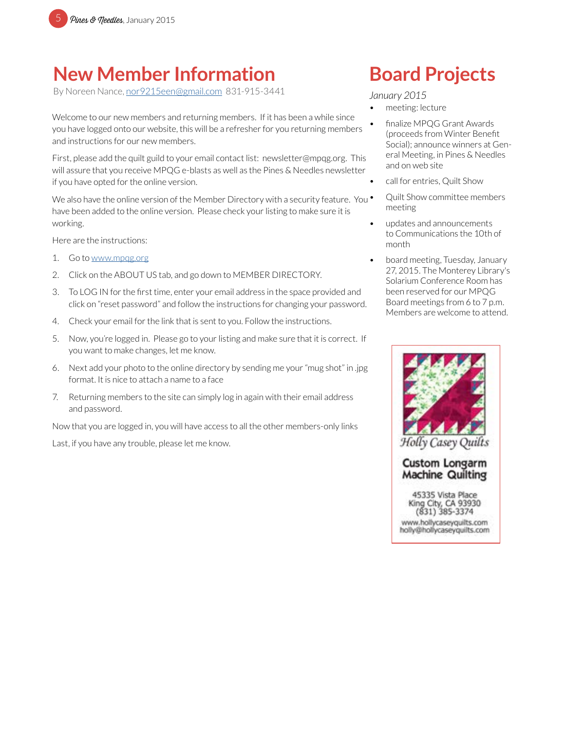

### **New Member Information**

By Noreen Nance, [nor9215een@gmail.com](mailto:nor9215een%40gmail.com?subject=MPQG%20Membership) 831-915-3441

Welcome to our new members and returning members. If it has been a while since you have logged onto our website, this will be a refresher for you returning members and instructions for our new members.

First, please add the quilt guild to your email contact list: newsletter@mpqg.org. This will assure that you receive MPQG e-blasts as well as the Pines & Needles newsletter if you have opted for the online version.

We also have the online version of the Member Directory with a security feature. You  $\bullet$ have been added to the online version. Please check your listing to make sure it is working.

Here are the instructions:

- 1. Go to [www.mpqg.org](http://www.mpqg.org)
- 2. Click on the ABOUT US tab, and go down to MEMBER DIRECTORY.
- 3. To LOG IN for the first time, enter your email address in the space provided and click on "reset password" and follow the instructions for changing your password.
- 4. Check your email for the link that is sent to you. Follow the instructions.
- 5. Now, you're logged in. Please go to your listing and make sure that it is correct. If you want to make changes, let me know.
- 6. Next add your photo to the online directory by sending me your "mug shot" in .jpg format. It is nice to attach a name to a face
- 7. Returning members to the site can simply log in again with their email address and password.

Now that you are logged in, you will have access to all the other members-only links

Last, if you have any trouble, please let me know.

## **Board Projects**

#### *January 2015*

- meeting: lecture
- finalize MPQG Grant Awards (proceeds from Winter Benefit Social); announce winners at General Meeting, in Pines & Needles and on web site
- call for entries, Quilt Show
- Quilt Show committee members meeting
- updates and announcements to Communications the 10th of month
- board meeting, Tuesday, January 27, 2015. The Monterey Library's Solarium Conference Room has been reserved for our MPQG Board meetings from 6 to 7 p.m. Members are welcome to attend.

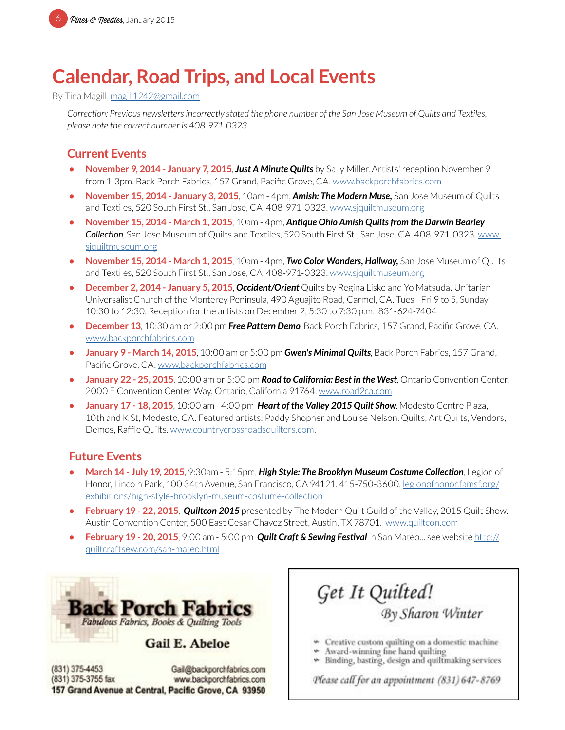### **Calendar, Road Trips, and Local Events**

By Tina Magill, [magill1242@gmail.com](mailto:magill1242%40gmail.com?subject=MPQG%20Calendar)

*Correction: Previous newsletters incorrectly stated the phone number of the San Jose Museum of Quilts and Textiles, please note the correct number is 408-971-0323.*

### **Current Events**

- **•** November 9, 2014 January 7, 2015, Just A Minute Quilts by Sally Miller. Artists' reception November 9 from 1-3pm. Back Porch Fabrics, 157 Grand, Pacific Grove, CA. [www.backporchfabrics.com](http://www.backporchfabrics.com)
- **• November 15, 2014 January 3, 2015**, 10am 4pm, *Amish: The Modern Muse,* San Jose Museum of Quilts and Textiles, 520 South First St., San Jose, CA 408-971-0323. [www.sjquiltmuseum.org](http://www.sjquiltmuseum.org)
- **• November 15, 2014 March 1, 2015**, 10am 4pm, *Antique Ohio Amish Quilts from the Darwin Bearley Collection*, San Jose Museum of Quilts and Textiles, 520 South First St., San Jose, CA 408-971-0323. [www.](http://www.sjquiltmuseum.org) [sjquiltmuseum.or](http://www.sjquiltmuseum.org)g
- **• November 15, 2014 March 1, 2015**, 10am 4pm, *Two Color Wonders, Hallway,* San Jose Museum of Quilts and Textiles, 520 South First St., San Jose, CA 408-971-0323. [www.sjquiltmuseum.org](http://www.sjquiltmuseum.org)
- **• December 2, 2014 January 5, 2015**, *Occident/Orient* Quilts by Regina Liske and Yo Matsuda*.* Unitarian Universalist Church of the Monterey Peninsula, 490 Aguajito Road, Carmel, CA. Tues - Fri 9 to 5, Sunday 10:30 to 12:30. Reception for the artists on December 2, 5:30 to 7:30 p.m. 831-624-7404
- **• December 13**, 10:30 am or 2:00 pm *Free Pattern Demo*, Back Porch Fabrics, 157 Grand, Pacific Grove, CA. [www.backporchfabrics.com](http://www.backporchfabrics.com)
- **• January 9 March 14, 2015**, 10:00 am or 5:00 pm *Gwen's Minimal Quilts*, Back Porch Fabrics, 157 Grand, Pacific Grove, CA. [www.backporchfabrics.com](http://www.backporchfabrics.com)
- **• January 22 25, 2015**, 10:00 am or 5:00 pm *Road to California: Best in the West*, Ontario Convention Center, 2000 E Convention Center Way, Ontario, California 91764. [www.road2ca.com](http://www.road2ca.com)
- **• January 17 18, 2015**, 10:00 am 4:00 pm *Heart of the Valley 2015 Quilt Show*. Modesto Centre Plaza, 10th and K St, Modesto, CA. Featured artists: Paddy Shopher and Louise Nelson. Quilts, Art Quilts, Vendors, Demos, Raffle Quilts. [www.countrycrossroadsquilters.com.](http://www.countrycrossroadsquilters.com)

#### **Future Events**

- **• March 14 July 19, 2015**, 9:30am 5:15pm, *High Style: The Brooklyn Museum Costume Collection*, Legion of Honor, Lincoln Park, 100 34th Avenue, San Francisco, CA 94121. 415-750-3600. l[egionofhonor.famsf.org/](http://legionofhonor.famsf.org/exhibitions/high-style-brooklyn-museum-costume-collection) [exhibitions/high-style-brooklyn-museum-costume-collection](http://legionofhonor.famsf.org/exhibitions/high-style-brooklyn-museum-costume-collection)
- **• February 19 22, 2015**, *Quiltcon 2015* presented by The Modern Quilt Guild of the Valley, 2015 Quilt Show. Austin Convention Center, 500 East Cesar Chavez Street, Austin, TX 78701. [www.quiltcon.com](http://www.quiltcon.com)
- **• February 19 20, 2015**, 9:00 am 5:00 pm *Quilt Craft & Sewing Festival* in San Mateo... see website [http://](http://quiltcraftsew.com/san-mateo.html) [quiltcraftsew.com/san-mateo.html](http://quiltcraftsew.com/san-mateo.html)

ck Porch Fab Fabulous Fabrics, Books & Quilting Tools Gail E. Abeloe (831) 375-4453 Gail@backporchfabrics.com (831) 375-3755 fax www.backporchfabrics.com 157 Grand Avenue at Central, Pacific Grove, CA 93950

Get It Quilted!<br>By Sharon Winter Creative custom quilting on a domestic machine Award-winning fine hand quilting

Binding, basting, design and quiltmaking services

Please call for an appointment (831) 647-8769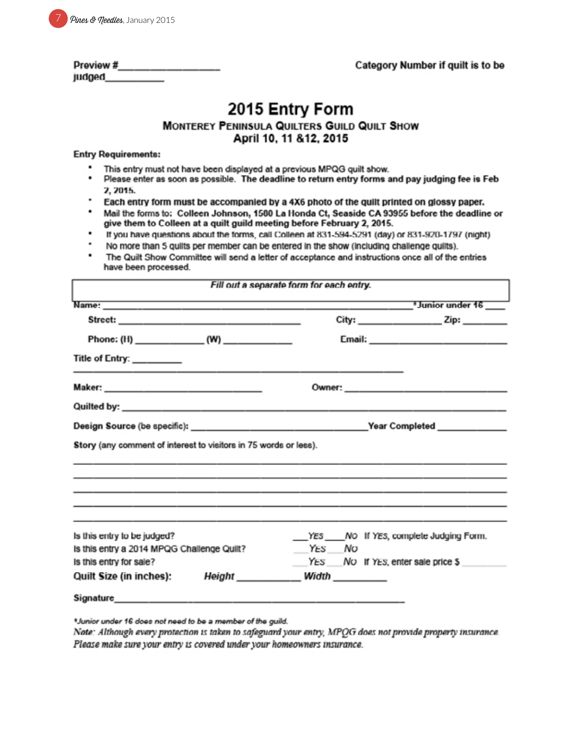|  | Pines & needles, January 2015 |  |
|--|-------------------------------|--|
|--|-------------------------------|--|

| Preview # |  |  |  |
|-----------|--|--|--|
| judged    |  |  |  |

## 2015 Entry Form

#### MONTEREY PENINSULA QUILTERS GUILD QUILT SHOW April 10, 11 & 12, 2015

#### **Entry Requirements:**

- This entry must not have been displayed at a previous MPQG quilt show.
- . Please enter as soon as possible. The deadline to return entry forms and pay judging fee is Feb 2, 2015.
- Each entry form must be accompanied by a 4X6 photo of the quilt printed on glossy paper.
- ٠ Mail the forms to: Colleen Johnson, 1580 La Honda Ct, Seaside CA 93955 before the deadline or give them to Colleen at a quilt guild meeting before February 2, 2015.
- If you have questions about the forms, call Colleen at 831-594-5291 (day) or 831-920-1797 (night)
- No more than 5 quilts per member can be entered in the show (including challenge quilts).
- The Quilt Show Committee will send a letter of acceptance and instructions once all of the entries have been processed.

|                                                                  | $City:$ $Zip:$ $Zip:$                 |
|------------------------------------------------------------------|---------------------------------------|
|                                                                  |                                       |
| Title of Entry: ________                                         |                                       |
|                                                                  |                                       |
|                                                                  |                                       |
|                                                                  |                                       |
| Story (any comment of interest to visitors in 75 words or less). |                                       |
|                                                                  |                                       |
| Is this entry to be judged?                                      | YES NO If YES, complete Judging Form. |
| Is this entry a 2014 MPQG Challenge Quilt?                       | YES NO                                |
| Is this entry for sale?                                          | YES NO If YES, enter sale price \$    |

\*Junior under 16 does not need to be a member of the guild.

Note: Although every protection is taken to safeguard your entry, MPQG does not provide property insurance. Please make sure your entry is covered under your homeowners insurance.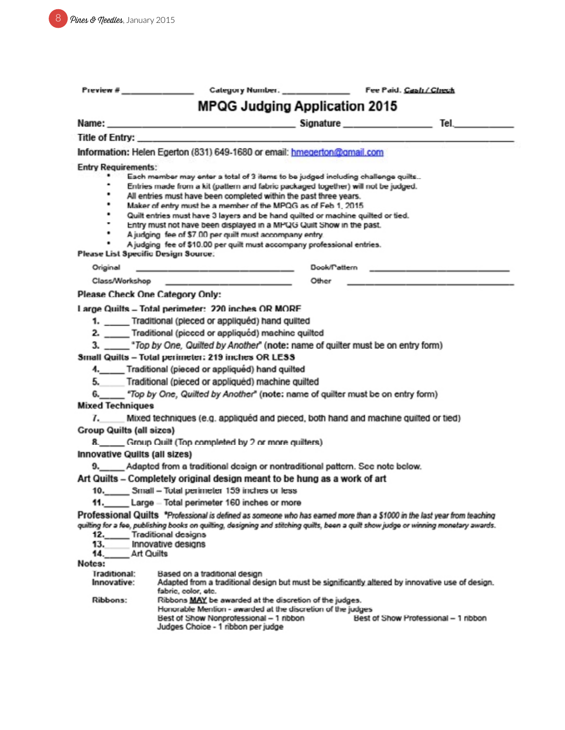| Preview #                            |                                                                                                                                                              |              |                                     |                                                                                      |  |
|--------------------------------------|--------------------------------------------------------------------------------------------------------------------------------------------------------------|--------------|-------------------------------------|--------------------------------------------------------------------------------------|--|
| <b>MPQG Judging Application 2015</b> |                                                                                                                                                              |              |                                     |                                                                                      |  |
|                                      |                                                                                                                                                              |              |                                     |                                                                                      |  |
|                                      | Title of Entry:                                                                                                                                              |              |                                     |                                                                                      |  |
|                                      | Information: Helen Egerton (831) 649-1680 or email: hmegerton@gmail.com                                                                                      |              |                                     |                                                                                      |  |
| <b>Entry Requirements:</b>           |                                                                                                                                                              |              |                                     |                                                                                      |  |
| ٠                                    | Each member may enter a total of 3 items to be judged including challenge quilts                                                                             |              |                                     |                                                                                      |  |
| ٠                                    | ٠<br>Entries made from a kit (pattern and fabric packaged together) will not be judged.<br>All entries must have been completed within the past three years. |              |                                     |                                                                                      |  |
| ٠                                    | Maker of entry must be a member of the MPOG as of Feb 1, 2015.                                                                                               |              |                                     |                                                                                      |  |
| ٠                                    | Quilt entries must have 3 layers and be hand quilted or machine quilted or tied.                                                                             |              |                                     |                                                                                      |  |
|                                      | Entry must not have been displayed in a MPQG Quilt Show in the past.                                                                                         |              |                                     |                                                                                      |  |
| ٠                                    | A judging fee of \$7.00 per quilt must accompany entry.                                                                                                      |              |                                     |                                                                                      |  |
| Please List Specific Design Source:  | A judging fee of \$10.00 per quilt must accompany professional entries.                                                                                      |              |                                     |                                                                                      |  |
| Original                             | the special company of the support of the sub-                                                                                                               | Dook/Pattern |                                     | the company of the state of the company of the company of the company of the company |  |
|                                      |                                                                                                                                                              | Other        |                                     |                                                                                      |  |
| Please Check One Category Only:      |                                                                                                                                                              |              |                                     |                                                                                      |  |
|                                      | Large Quilts - Total perimeter: 220 inches OR MORE                                                                                                           |              |                                     |                                                                                      |  |
|                                      | 1. ____ Traditional (pieced or appliquéd) hand quilted                                                                                                       |              |                                     |                                                                                      |  |
|                                      | 2. ____ Traditional (picced or appliquéd) machine quilted                                                                                                    |              |                                     |                                                                                      |  |
|                                      | 3. ____ *Top by One, Quilted by Another" (note: name of quilter must be on entry form)                                                                       |              |                                     |                                                                                      |  |
|                                      | Small Quilts - Total perimeter: 219 inches OR LESS                                                                                                           |              |                                     |                                                                                      |  |
|                                      | 4. Traditional (pieced or appliquéd) hand quilted                                                                                                            |              |                                     |                                                                                      |  |
| 5.                                   | Traditional (pieced or appliquéd) machine quilted                                                                                                            |              |                                     |                                                                                      |  |
|                                      |                                                                                                                                                              |              |                                     |                                                                                      |  |
| <b>Mixed Techniques</b>              |                                                                                                                                                              |              |                                     |                                                                                      |  |
|                                      | Mixed techniques (e.g. appliquéd and pieced, both hand and machine quilted or tied)                                                                          |              |                                     |                                                                                      |  |
| <b>Group Quilts (all sizcs)</b>      |                                                                                                                                                              |              |                                     |                                                                                      |  |
|                                      | 8._____ Group Quilt (Top completed by 2 or more quilters)                                                                                                    |              |                                     |                                                                                      |  |
| <b>Innovative Quilts (all sizes)</b> |                                                                                                                                                              |              |                                     |                                                                                      |  |
|                                      | 9. Adapted from a traditional design or nontraditional pattern. See note below.                                                                              |              |                                     |                                                                                      |  |
|                                      | Art Quilts – Completely original design meant to be hung as a work of art                                                                                    |              |                                     |                                                                                      |  |
|                                      | 10. Small - Total perimeter 159 inches or less                                                                                                               |              |                                     |                                                                                      |  |
|                                      | Large - Total perimeter 160 inches or more                                                                                                                   |              |                                     |                                                                                      |  |
|                                      | Professional Quilts *Professional is defined as someone who has earned more than a \$1000 in the last year from teaching                                     |              |                                     |                                                                                      |  |
|                                      | quilting for a fee, publishing books on quilting, designing and stitching quilts, been a quilt show judge or winning monetary awards.                        |              |                                     |                                                                                      |  |
| 12.<br>13.                           | Traditional designs<br>Innovative designs                                                                                                                    |              |                                     |                                                                                      |  |
| 14.<br>Art Quilts                    |                                                                                                                                                              |              |                                     |                                                                                      |  |
| Notes:                               |                                                                                                                                                              |              |                                     |                                                                                      |  |
| <b>Iraditional:</b>                  | Based on a traditional design                                                                                                                                |              |                                     |                                                                                      |  |
| Innovative:                          | Adapted from a traditional design but must be significantly altered by innovative use of design.<br>fabric, color, etc.                                      |              |                                     |                                                                                      |  |
| Ribbons:                             | Ribbons MAY be awarded at the discretion of the judges.                                                                                                      |              |                                     |                                                                                      |  |
|                                      | Honorable Mention - awarded at the discretion of the judges                                                                                                  |              |                                     |                                                                                      |  |
|                                      | Best of Show Nonprofessional - 1 ribbon<br>Judges Choice - 1 ribbon per judge                                                                                |              | Best of Show Professional - 1 nbbon |                                                                                      |  |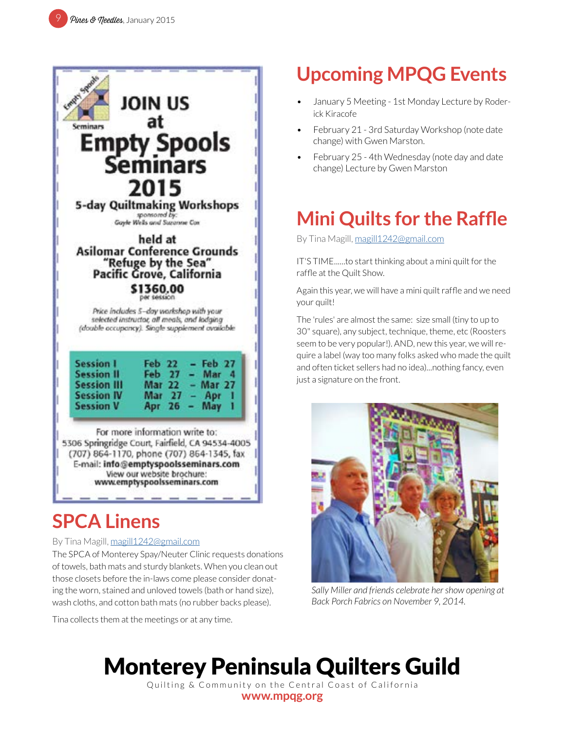

### **SPCA Linens**

#### By Tina Magill, [magill1242@gmail.com](mailto:magill1242%40gmail.com?subject=MPQG%20Calendar)

The SPCA of Monterey Spay/Neuter Clinic requests donations of towels, bath mats and sturdy blankets. When you clean out those closets before the in-laws come please consider donating the worn, stained and unloved towels (bath or hand size), wash cloths, and cotton bath mats (no rubber backs please).

Tina collects them at the meetings or at any time.

## **Upcoming MPQG Events**

- January 5 Meeting 1st Monday Lecture by Roderick Kiracofe
- February 21 3rd Saturday Workshop (note date change) with Gwen Marston.
- February 25 4th Wednesday (note day and date change) Lecture by Gwen Marston

## **Mini Quilts for the Raffle**

By Tina Magill, [magill1242@gmail.com](mailto:magill1242%40gmail.com?subject=MPQG%20Calendar)

IT'S TIME......to start thinking about a mini quilt for the raffle at the Quilt Show.

Again this year, we will have a mini quilt raffle and we need your quilt!

The 'rules' are almost the same: size small (tiny to up to 30" square), any subject, technique, theme, etc (Roosters seem to be very popular!). AND, new this year, we will require a label (way too many folks asked who made the quilt and often ticket sellers had no idea)...nothing fancy, even just a signature on the front.



*Sally Miller and friends celebrate her show opening at Back Porch Fabrics on November 9, 2014.*

# Monterey Peninsula Quilters Guild

Quilting & Community on the Central Coast of California **[www.mpqg.org](http://www.mpqg.org)**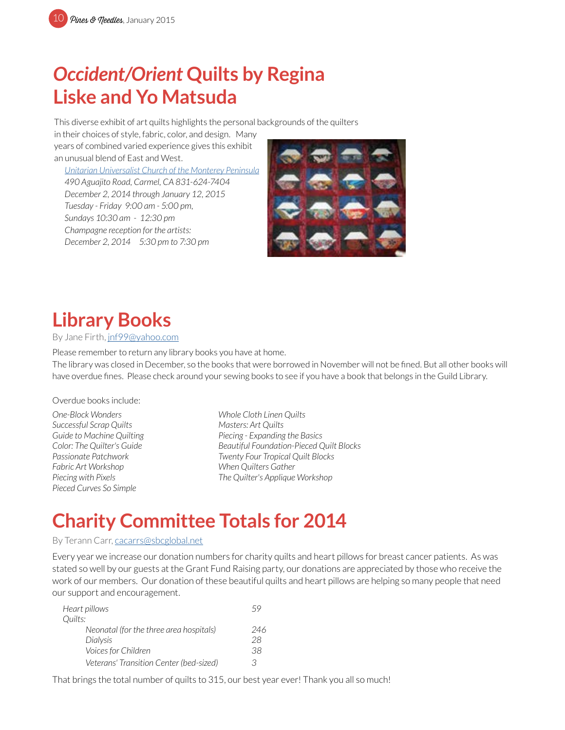## *Occident/Orient* **Quilts by Regina Liske and Yo Matsuda**

This diverse exhibit of art quilts highlights the personal backgrounds of the quilters

in their choices of style, fabric, color, and design. Many years of combined varied experience gives this exhibit an unusual blend of East and West.

*[Unitarian Universalist Church of the Monterey Peninsula](http://www.uucmp.org/) 490 Aguajito Road, Carmel, CA 831-624-7404 December 2, 2014 through January 12, 2015 Tuesday - Friday 9:00 am - 5:00 pm, Sundays 10:30 am - 12:30 pm Champagne reception for the artists: December 2, 2014 5:30 pm to 7:30 pm*



## **Library Books**

By Jane Firth, [jnf99@yahoo.com](mailto:jnf99%40yahoo.com?subject=MPQG%20Library%20Books)

Please remember to return any library books you have at home.

The library was closed in December, so the books that were borrowed in November will not be fined. But all other books will have overdue fines. Please check around your sewing books to see if you have a book that belongs in the Guild Library.

Overdue books include:

*One-Block Wonders Whole Cloth Linen Quilts Successful Scrap Quilts Masters: Art Quilts Fabric Art Workshop When Quilters Gather Pieced Curves So Simple* 

*Guide to Machine Quilting Piecing - Expanding the Basics Color: The Quilter's Guide Beautiful Foundation-Pieced Quilt Blocks Passionate Patchwork Twenty Four Tropical Quilt Blocks Piecing with Pixels The Quilter's Applique Workshop*

### **Charity Committee Totals for 2014**

#### By Terann Carr, [cacarrs@sbcglobal.net](mailto:cacarrs%40sbcglobal.net?subject=MPQG%20Charity)

Every year we increase our donation numbers for charity quilts and heart pillows for breast cancer patients. As was stated so well by our guests at the Grant Fund Raising party, our donations are appreciated by those who receive the work of our members. Our donation of these beautiful quilts and heart pillows are helping so many people that need our support and encouragement.

| Heart pillows                           |     |
|-----------------------------------------|-----|
| Quilts:                                 |     |
| Neonatal (for the three area hospitals) | 246 |
| Dialysis                                | 28  |
| Voices for Children                     | 38  |
| Veterans' Transition Center (bed-sized) | З   |

That brings the total number of quilts to 315, our best year ever! Thank you all so much!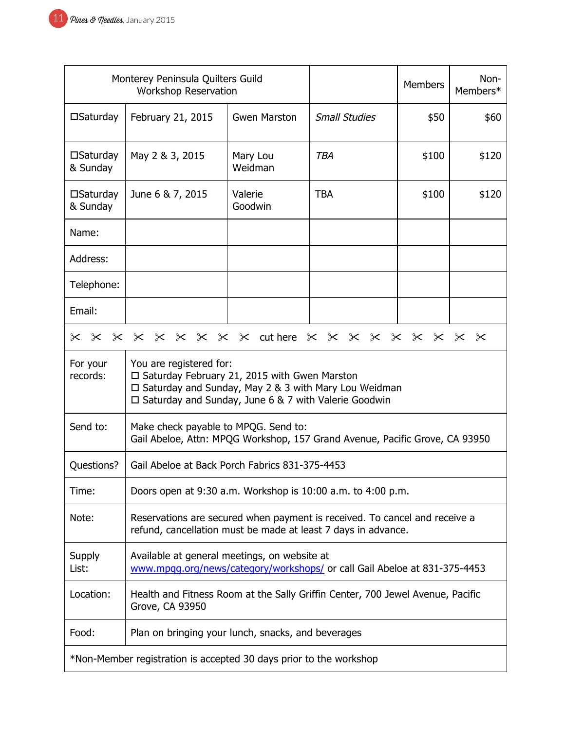| Monterey Peninsula Quilters Guild<br><b>Workshop Reservation</b>                                                                                     |                                                                                                                                                                                                         |                     | <b>Members</b>       | Non-<br>Members* |       |
|------------------------------------------------------------------------------------------------------------------------------------------------------|---------------------------------------------------------------------------------------------------------------------------------------------------------------------------------------------------------|---------------------|----------------------|------------------|-------|
| $\square$ Saturday                                                                                                                                   | February 21, 2015                                                                                                                                                                                       | <b>Gwen Marston</b> | <b>Small Studies</b> | \$50             | \$60  |
| $\square$ Saturday<br>& Sunday                                                                                                                       | May 2 & 3, 2015                                                                                                                                                                                         | Mary Lou<br>Weidman | <b>TBA</b>           | \$100            | \$120 |
| $\square$ Saturday<br>& Sunday                                                                                                                       | June 6 & 7, 2015                                                                                                                                                                                        | Valerie<br>Goodwin  | <b>TBA</b>           | \$100            | \$120 |
| Name:                                                                                                                                                |                                                                                                                                                                                                         |                     |                      |                  |       |
| Address:                                                                                                                                             |                                                                                                                                                                                                         |                     |                      |                  |       |
| Telephone:                                                                                                                                           |                                                                                                                                                                                                         |                     |                      |                  |       |
| Email:                                                                                                                                               |                                                                                                                                                                                                         |                     |                      |                  |       |
| $\times$                                                                                                                                             | × × × × × × × × cuthere × × × × × × × × × ×                                                                                                                                                             |                     |                      |                  |       |
| For your<br>records:                                                                                                                                 | You are registered for:<br>$\Box$ Saturday February 21, 2015 with Gwen Marston<br>□ Saturday and Sunday, May 2 & 3 with Mary Lou Weidman<br>$\Box$ Saturday and Sunday, June 6 & 7 with Valerie Goodwin |                     |                      |                  |       |
| Send to:                                                                                                                                             | Make check payable to MPQG. Send to:<br>Gail Abeloe, Attn: MPQG Workshop, 157 Grand Avenue, Pacific Grove, CA 93950                                                                                     |                     |                      |                  |       |
| Questions?                                                                                                                                           | Gail Abeloe at Back Porch Fabrics 831-375-4453                                                                                                                                                          |                     |                      |                  |       |
| Time:                                                                                                                                                | Doors open at 9:30 a.m. Workshop is 10:00 a.m. to 4:00 p.m.                                                                                                                                             |                     |                      |                  |       |
| Note:<br>Reservations are secured when payment is received. To cancel and receive a<br>refund, cancellation must be made at least 7 days in advance. |                                                                                                                                                                                                         |                     |                      |                  |       |
| Available at general meetings, on website at<br>Supply<br>List:<br>www.mpgg.org/news/category/workshops/ or call Gail Abeloe at 831-375-4453         |                                                                                                                                                                                                         |                     |                      |                  |       |
| Location:<br>Health and Fitness Room at the Sally Griffin Center, 700 Jewel Avenue, Pacific<br>Grove, CA 93950                                       |                                                                                                                                                                                                         |                     |                      |                  |       |
| Food:                                                                                                                                                | Plan on bringing your lunch, snacks, and beverages                                                                                                                                                      |                     |                      |                  |       |
| *Non-Member registration is accepted 30 days prior to the workshop                                                                                   |                                                                                                                                                                                                         |                     |                      |                  |       |